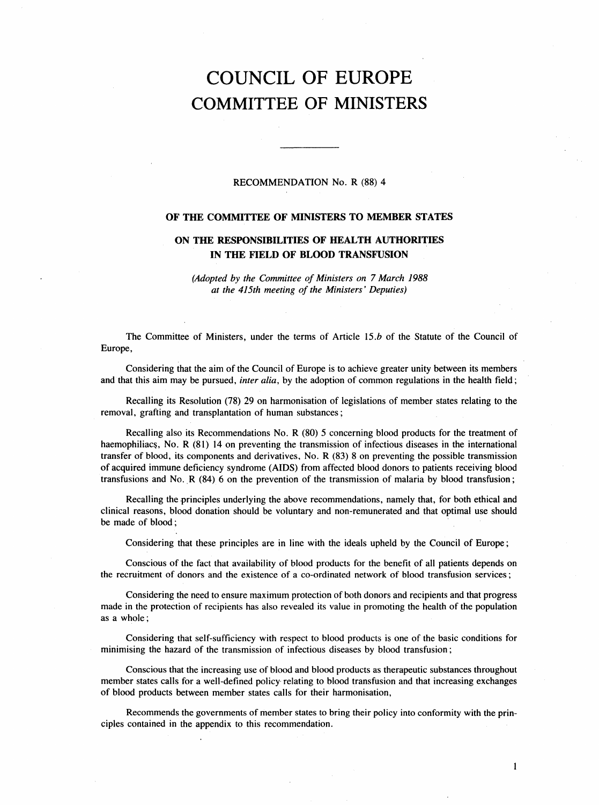# COUNCIL OF EUROPE COMMITTEE OF MINISTERS

# RECOMMENDATION No. R (88) 4

# OF THE COMMITTEE OF MINISTERS TO MEMBER STATES

# ON THE RESPONSIBILITIES OF HEALTH AUTHORITIES IN THE FIELD OF BLOOD TRANSFUSION

(Adopted by the Committee of Ministers on 7 March 1988 at the 415th meeting of the Ministers' Deputies)

The Committee of Ministers, under the terms of Article 15.*b* of the Statute of the Council of Europe,

Considering that the aim of the Council of Europe is to achieve greater unity between its members and that this aim may be pursued, *inter alia*, by the adoption of common regulations in the health field;

Recalling its Resolution (78) 29 on harmonisation of legislations of member states relating to the removal, grafting and transplantation of human substances;

Recalling also its Recommendations No. R (80) 5 concerning blood products for the treatment of haemophiliacs, No. R (81) 14 on preventing the transmission of infectious diseases in the international transfer of blood, its components and derivatives, No. R (83) 8 on preventing the possible transmission of acquired immune deficiency syndrome (AIDS) from affected blood donors to patients receiving blood transfusions and No. R (84) 6 on the prevention of the transmission of malaria by blood transfusion;

Recalling the principles underlying the above recommendations, namely that, for both ethical and clinical reasons, blood donation should be voluntary and non-remunerated and that optimal use should be made of blood;

Considering that these principles are in line with the ideals upheld by the Council of Europe;

Conscious of the fact that availability of blood products for the benefit of all patients depends on the recruitment of donors and the existence of a co-ordinated network of blood transfusion services;

Considering the need to ensure maximum protection of both donors and recipients and that progress made in the protection of recipients has also revealed its value in promoting the health of the population as a whole;

Considering that self-sufficiency with respect to blood products is one of the basic conditions for minimising the hazard of the transmission of infectious diseases by blood transfusion;

Conscious that the increasing use of blood and blood products as therapeutic substances throughout member states calls for a well-defined policy relating to blood transfusion and that increasing exchanges of blood products between member states calls for their harmonisation,

Recommends the governments of member states to bring their policy into conformity with the principles contained in the appendix to this recommendation.

1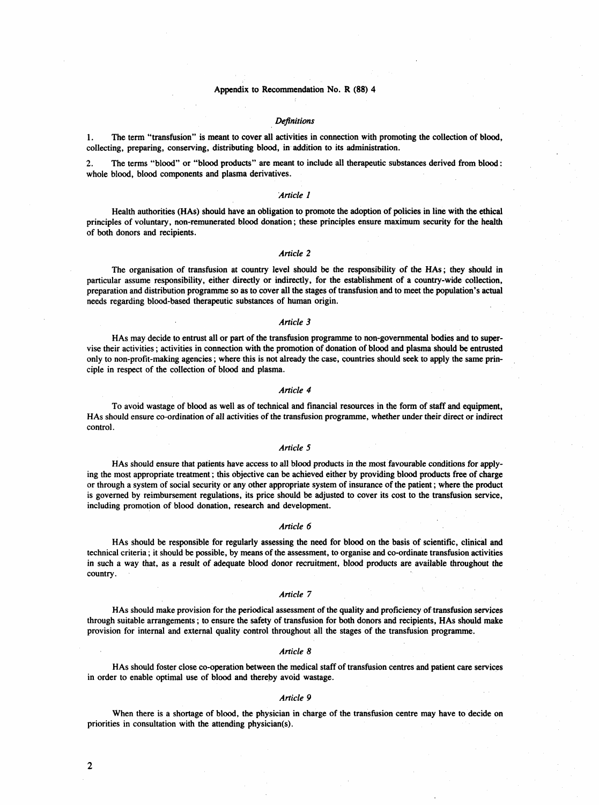#### **Definitions**

1. The term "transfusion" is meant to cover all activities in connection with promoting the collection of blood, collecting, preparing, conserving, distributing blood, in addition to its administration.

2. The terms "blood" or "blood products" are meant to include all therapeutic substances derived from blood: whole blood, blood components and plasma derivatives.

# Article 1

Health authorities (HAs) should have an obligation to promote the adoption of policies in line with the ethical principles of voluntary, non-remunerated blood donation; these principles ensure maximum security for the health of both donors and recipients.

# Article 2

The organisation of transfusion at country level should be the responsibility of the HAs; they should in particular assume responsibility, either directly or indirectly, for the establishment of a country-wide collection, preparation and distribution programme so as to cover all the stages of transfusion and to meet the population's actual needs regarding blood-based therapeutic substances of human origin.

#### Article 3

HAs may decide to entrust all or part of the transfusion programme to non-governmental bodies and to supervise their activities; activities in connection with the promotion of donation of blood and plasma should be entrusted only to non-profit-making agencies; where this is not already the case, countries should seek to apply the same principle in respect of the collection of blood and plasma.

# Article 4

To avoid wastage of blood as well as of technical and financial resources in the form of staff and equipment, HAs should ensure co-ordination of all activities of the transfusion programme, whether under their direct or indirect control.

# Article 5

HAs should ensure that patients have access to all blood products in the most favourable conditions for applying the most appropriate treatment; this objective can be achieved either by providing blood products free of charge or through a system of social security or any other appropriate system of insurance of the patient; where the product is governed by reimbursement regulations, its price should be adjusted to cover its cost to the transfusion service, including promotion of blood donation, research and development.

#### Article 6

HAs should be responsible for regularly assessing the need for blood on the basis of scientific, clinical and technical criteria; it should be possible, by means of the assessment, to organise and co-ordinate transfusion activities in such a way that, as a result of adequate blood donor recruitment, blood products are available throughout the country.

#### Article 7

HAs should make provision for the periodical assessment of the quality and proficiency of transfusion services through suitable arrangements; to ensure the safety of transfusion for both donors and recipients, HAs should make provision for internal and external quality control throughout all the stages of the transfusion programme.

#### Article 8

HAs should foster close co-operation between the medical staff of transfusion centres and patient care services in order to enable optimal use of blood and thereby avoid wastage.

## Article 9

When there is a shortage of blood, the physician in charge of the transfusion centre may have to decide on priorities in consultation with the attending physician(s).